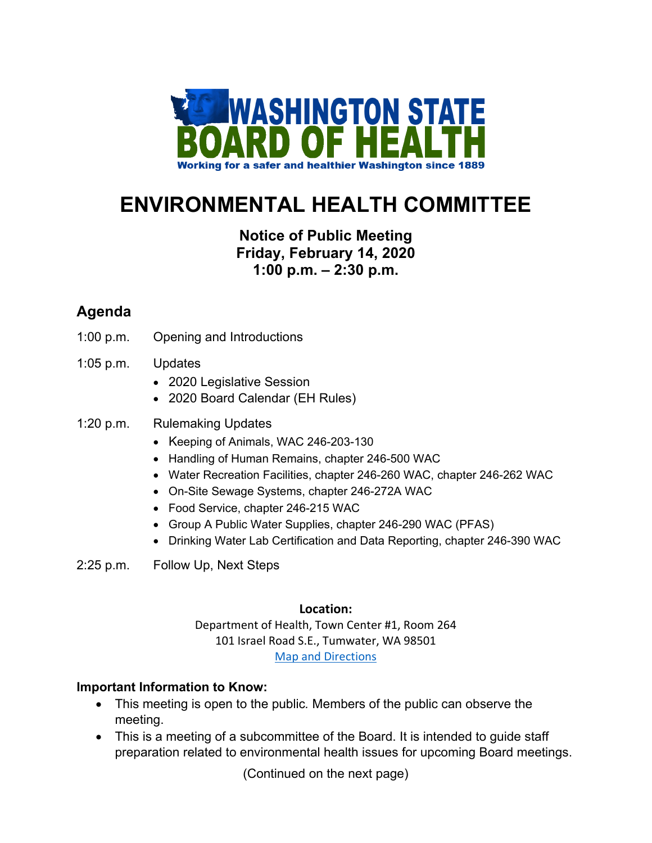

# **ENVIRONMENTAL HEALTH COMMITTEE**

## **Notice of Public Meeting Friday, February 14, 2020 1:00 p.m. – 2:30 p.m.**

## **Agenda**

- 1:00 p.m. Opening and Introductions
- 1:05 p.m. Updates
	- 2020 Legislative Session
	- 2020 Board Calendar (EH Rules)

### 1:20 p.m. Rulemaking Updates

- Keeping of Animals, WAC 246-203-130
- Handling of Human Remains, chapter 246-500 WAC
- Water Recreation Facilities, chapter 246-260 WAC, chapter 246-262 WAC
- On-Site Sewage Systems, chapter 246-272A WAC
- Food Service, chapter 246-215 WAC
- Group A Public Water Supplies, chapter 246-290 WAC (PFAS)
- Drinking Water Lab Certification and Data Reporting, chapter 246-390 WAC
- 2:25 p.m. Follow Up, Next Steps

#### **Location:**

Department of Health, Town Center #1, Room 264 101 Israel Road S.E., Tumwater, WA 98501 [Map and Directions](https://www.google.com/maps/place/101+Israel+Rd+SE,+Tumwater,+WA+98501/@46.9850574,-122.9080758,17z/data=!3m1!4b1!4m5!3m4!1s0x549173f074205aa3:0x552ddc5f79ee44b6!8m2!3d46.9850574!4d-122.9058818?hl=en)

#### **Important Information to Know:**

- This meeting is open to the public*.* Members of the public can observe the meeting.
- This is a meeting of a subcommittee of the Board. It is intended to guide staff preparation related to environmental health issues for upcoming Board meetings.

(Continued on the next page)